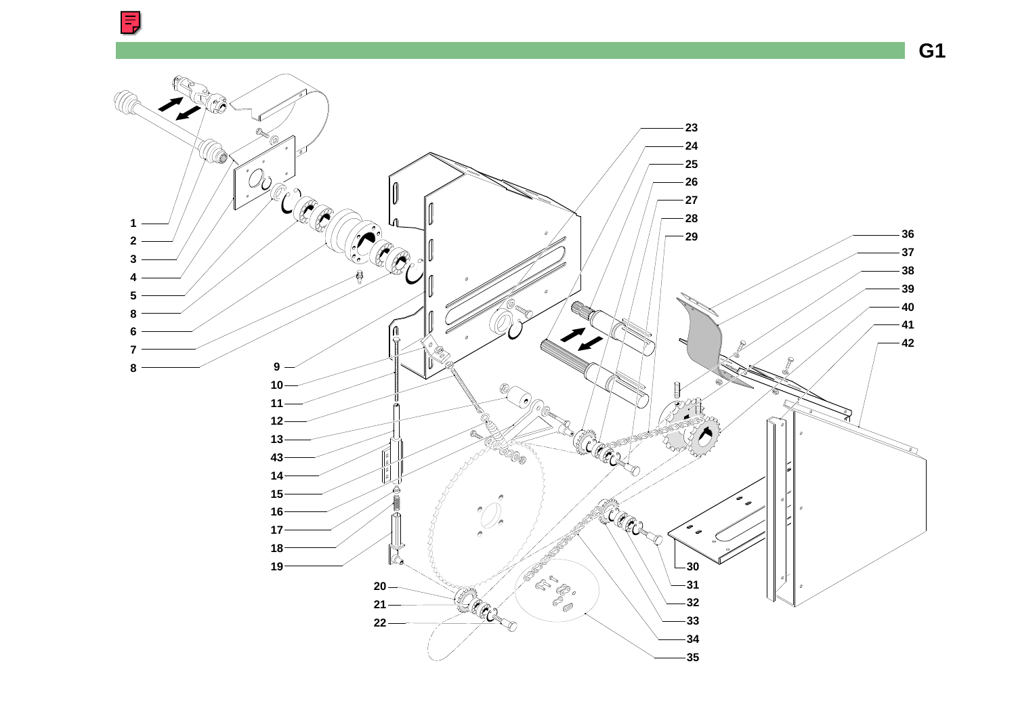